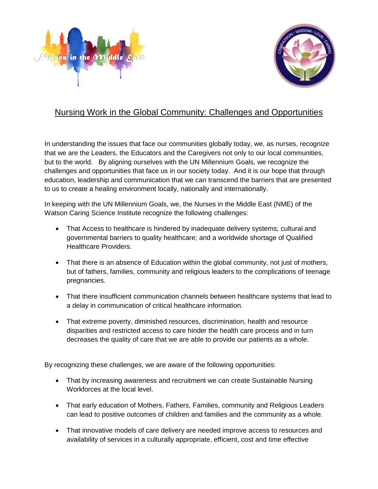



## Nursing Work in the Global Community: Challenges and Opportunities

In understanding the issues that face our communities globally today, we, as nurses, recognize that we are the Leaders, the Educators and the Caregivers not only to our local communities, but to the world. By aligning ourselves with the UN Millennium Goals, we recognize the challenges and opportunities that face us in our society today. And it is our hope that through education, leadership and communication that we can transcend the barriers that are presented to us to create a healing environment locally, nationally and internationally.

In keeping with the UN Millennium Goals, we, the Nurses in the Middle East (NME) of the Watson Caring Science Institute recognize the following challenges:

- That Access to healthcare is hindered by inadequate delivery systems; cultural and governmental barriers to quality healthcare; and a worldwide shortage of Qualified Healthcare Providers.
- That there is an absence of Education within the global community, not just of mothers, but of fathers, families, community and religious leaders to the complications of teenage pregnancies.
- That there insufficient communication channels between healthcare systems that lead to a delay in communication of critical healthcare information.
- That extreme poverty, diminished resources, discrimination, health and resource disparities and restricted access to care hinder the health care process and in turn decreases the quality of care that we are able to provide our patients as a whole.

By recognizing these challenges, we are aware of the following opportunities:

- That by increasing awareness and recruitment we can create Sustainable Nursing Workforces at the local level.
- That early education of Mothers, Fathers, Families, community and Religious Leaders can lead to positive outcomes of children and families and the community as a whole.
- That innovative models of care delivery are needed improve access to resources and availability of services in a culturally appropriate, efficient, cost and time effective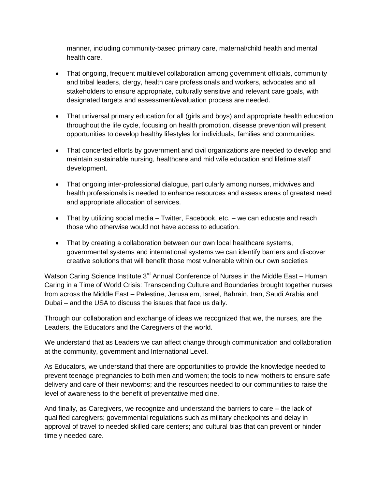manner, including community-based primary care, maternal/child health and mental health care.

- That ongoing, frequent multilevel collaboration among government officials, community and tribal leaders, clergy, health care professionals and workers, advocates and all stakeholders to ensure appropriate, culturally sensitive and relevant care goals, with designated targets and assessment/evaluation process are needed.
- That universal primary education for all (girls and boys) and appropriate health education throughout the life cycle, focusing on health promotion, disease prevention will present opportunities to develop healthy lifestyles for individuals, families and communities.
- That concerted efforts by government and civil organizations are needed to develop and maintain sustainable nursing, healthcare and mid wife education and lifetime staff development.
- That ongoing inter-professional dialogue, particularly among nurses, midwives and health professionals is needed to enhance resources and assess areas of greatest need and appropriate allocation of services.
- That by utilizing social media Twitter, Facebook, etc. we can educate and reach those who otherwise would not have access to education.
- That by creating a collaboration between our own local healthcare systems, governmental systems and international systems we can identify barriers and discover creative solutions that will benefit those most vulnerable within our own societies

Watson Caring Science Institute  $3<sup>rd</sup>$  Annual Conference of Nurses in the Middle East – Human Caring in a Time of World Crisis: Transcending Culture and Boundaries brought together nurses from across the Middle East – Palestine, Jerusalem, Israel, Bahrain, Iran, Saudi Arabia and Dubai – and the USA to discuss the issues that face us daily.

Through our collaboration and exchange of ideas we recognized that we, the nurses, are the Leaders, the Educators and the Caregivers of the world.

We understand that as Leaders we can affect change through communication and collaboration at the community, government and International Level.

As Educators, we understand that there are opportunities to provide the knowledge needed to prevent teenage pregnancies to both men and women; the tools to new mothers to ensure safe delivery and care of their newborns; and the resources needed to our communities to raise the level of awareness to the benefit of preventative medicine.

And finally, as Caregivers, we recognize and understand the barriers to care – the lack of qualified caregivers; governmental regulations such as military checkpoints and delay in approval of travel to needed skilled care centers; and cultural bias that can prevent or hinder timely needed care.